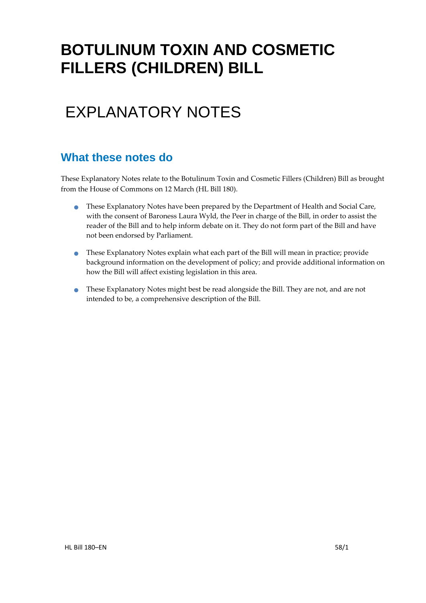# **BOTULINUM TOXIN AND COSMETIC FILLERS (CHILDREN) BILL**

# EXPLANATORY NOTES

### **What these notes do**

- These Explanatory Notes have been prepared by the Department of Health and Social Care, with the consent of Baroness Laura Wyld, the Peer in charge of the Bill, in order to assist the reader of the Bill and to help inform debate on it. They do not form part of the Bill and have not been endorsed by Parliament.
- These Explanatory Notes explain what each part of the Bill will mean in practice; provide background information on the development of policy; and provide additional information on how the Bill will affect existing legislation in this area.
- These Explanatory Notes might best be read alongside the Bill. They are not, and are not intended to be, a comprehensive description of the Bill.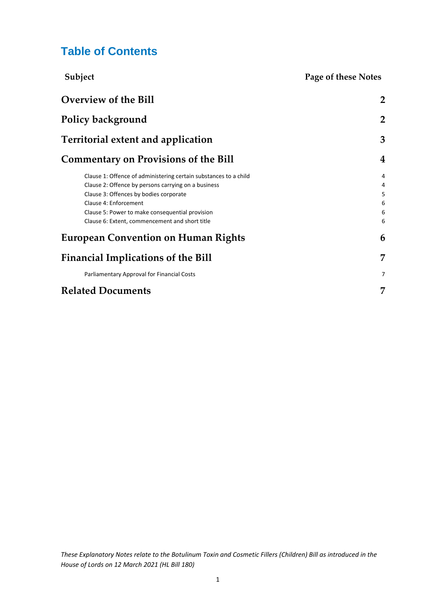### **Table of Contents**

| Subject                                                          | Page of these Notes |
|------------------------------------------------------------------|---------------------|
| Overview of the Bill                                             | $\overline{2}$      |
| Policy background                                                | $\overline{2}$      |
| Territorial extent and application                               | 3                   |
| <b>Commentary on Provisions of the Bill</b>                      | $\overline{4}$      |
| Clause 1: Offence of administering certain substances to a child | 4                   |
| Clause 2: Offence by persons carrying on a business              | 4                   |
| Clause 3: Offences by bodies corporate                           | 5                   |
| Clause 4: Enforcement                                            | 6                   |
| Clause 5: Power to make consequential provision                  |                     |
| Clause 6: Extent, commencement and short title                   | 6                   |
| <b>European Convention on Human Rights</b>                       | 6                   |
| <b>Financial Implications of the Bill</b>                        | 7                   |
| Parliamentary Approval for Financial Costs                       | 7                   |
| <b>Related Documents</b>                                         | 7                   |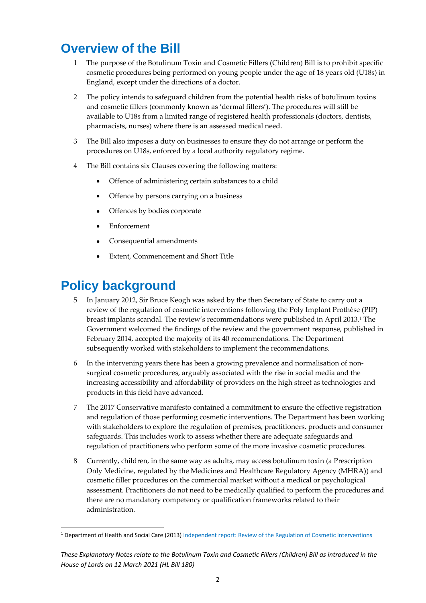# <span id="page-2-0"></span>**Overview of the Bill**

- 1 The purpose of the Botulinum Toxin and Cosmetic Fillers (Children) Bill is to prohibit specific cosmetic procedures being performed on young people under the age of 18 years old (U18s) in England, except under the directions of a doctor.
- 2 The policy intends to safeguard children from the potential health risks of botulinum toxins and cosmetic fillers (commonly known as 'dermal fillers'). The procedures will still be available to U18s from a limited range of registered health professionals (doctors, dentists, pharmacists, nurses) where there is an assessed medical need.
- 3 The Bill also imposes a duty on businesses to ensure they do not arrange or perform the procedures on U18s, enforced by a local authority regulatory regime.
- 4 The Bill contains six Clauses covering the following matters:
	- Offence of administering certain substances to a child
	- Offence by persons carrying on a business
	- Offences by bodies corporate
	- Enforcement
	- Consequential amendments
	- Extent, Commencement and Short Title

## <span id="page-2-1"></span>**Policy background**

- 5 In January 2012, Sir Bruce Keogh was asked by the then Secretary of State to carry out a review of the regulation of cosmetic interventions following the Poly Implant Prothèse (PIP) breast implants scandal. The review's recommendations were published in April 2013. <sup>1</sup> The Government welcomed the findings of the review and the government response, published in February 2014, accepted the majority of its 40 recommendations. The Department subsequently worked with stakeholders to implement the recommendations.
- 6 In the intervening years there has been a growing prevalence and normalisation of nonsurgical cosmetic procedures, arguably associated with the rise in social media and the increasing accessibility and affordability of providers on the high street as technologies and products in this field have advanced.
- 7 The 2017 Conservative manifesto contained a commitment to ensure the effective registration and regulation of those performing cosmetic interventions. The Department has been working with stakeholders to explore the regulation of premises, practitioners, products and consumer safeguards. This includes work to assess whether there are adequate safeguards and regulation of practitioners who perform some of the more invasive cosmetic procedures.
- 8 Currently, children, in the same way as adults, may access botulinum toxin (a Prescription Only Medicine, regulated by the Medicines and Healthcare Regulatory Agency (MHRA)) and cosmetic filler procedures on the commercial market without a medical or psychological assessment. Practitioners do not need to be medically qualified to perform the procedures and there are no mandatory competency or qualification frameworks related to their administration.

<sup>&</sup>lt;sup>1</sup> Department of Health and Social Care (2013[\) Independent report: Review of the Regulation of Cosmetic Interventions](https://www.gov.uk/government/publications/review-of-the-regulation-of-cosmetic-interventions)

*These Explanatory Notes relate to the Botulinum Toxin and Cosmetic Fillers (Children) Bill as introduced in the House of Lords on 12 March 2021 (HL Bill 180)*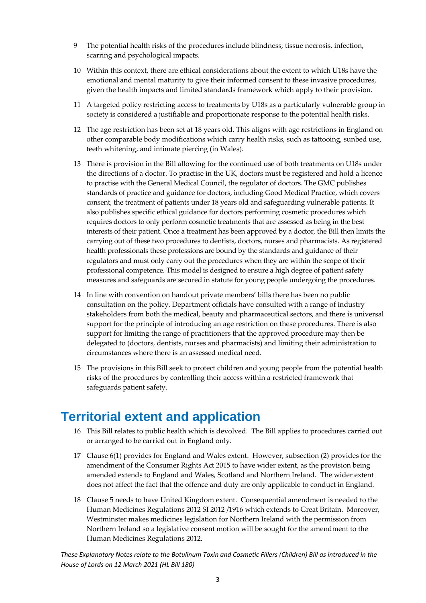- 9 The potential health risks of the procedures include blindness, tissue necrosis, infection, scarring and psychological impacts.
- 10 Within this context, there are ethical considerations about the extent to which U18s have the emotional and mental maturity to give their informed consent to these invasive procedures, given the health impacts and limited standards framework which apply to their provision.
- 11 A targeted policy restricting access to treatments by U18s as a particularly vulnerable group in society is considered a justifiable and proportionate response to the potential health risks.
- 12 The age restriction has been set at 18 years old. This aligns with age restrictions in England on other comparable body modifications which carry health risks, such as tattooing, sunbed use, teeth whitening, and intimate piercing (in Wales).
- 13 There is provision in the Bill allowing for the continued use of both treatments on U18s under the directions of a doctor. To practise in the UK, doctors must be registered and hold a licence to practise with the General Medical Council, the regulator of doctors. The GMC publishes standards of practice and guidance for doctors, including Good Medical Practice, which covers consent, the treatment of patients under 18 years old and safeguarding vulnerable patients. It also publishes specific ethical guidance for doctors performing cosmetic procedures which requires doctors to only perform cosmetic treatments that are assessed as being in the best interests of their patient. Once a treatment has been approved by a doctor, the Bill then limits the carrying out of these two procedures to dentists, doctors, nurses and pharmacists. As registered health professionals these professions are bound by the standards and guidance of their regulators and must only carry out the procedures when they are within the scope of their professional competence. This model is designed to ensure a high degree of patient safety measures and safeguards are secured in statute for young people undergoing the procedures.
- 14 In line with convention on handout private members' bills there has been no public consultation on the policy. Department officials have consulted with a range of industry stakeholders from both the medical, beauty and pharmaceutical sectors, and there is universal support for the principle of introducing an age restriction on these procedures. There is also support for limiting the range of practitioners that the approved procedure may then be delegated to (doctors, dentists, nurses and pharmacists) and limiting their administration to circumstances where there is an assessed medical need.
- 15 The provisions in this Bill seek to protect children and young people from the potential health risks of the procedures by controlling their access within a restricted framework that safeguards patient safety.

### <span id="page-3-0"></span>**Territorial extent and application**

- 16 This Bill relates to public health which is devolved. The Bill applies to procedures carried out or arranged to be carried out in England only.
- 17 Clause 6(1) provides for England and Wales extent. However, subsection (2) provides for the amendment of the Consumer Rights Act 2015 to have wider extent, as the provision being amended extends to England and Wales, Scotland and Northern Ireland. The wider extent does not affect the fact that the offence and duty are only applicable to conduct in England.
- 18 Clause 5 needs to have United Kingdom extent. Consequential amendment is needed to the Human Medicines Regulations 2012 SI 2012 /1916 which extends to Great Britain. Moreover, Westminster makes medicines legislation for Northern Ireland with the permission from Northern Ireland so a legislative consent motion will be sought for the amendment to the Human Medicines Regulations 2012.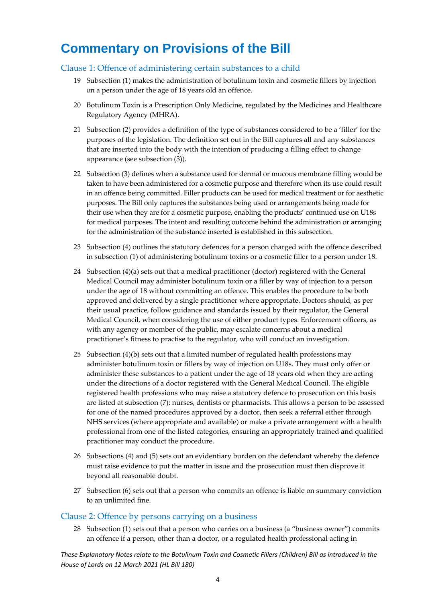# <span id="page-4-0"></span>**Commentary on Provisions of the Bill**

#### <span id="page-4-1"></span>Clause 1: Offence of administering certain substances to a child

- 19 Subsection (1) makes the administration of botulinum toxin and cosmetic fillers by injection on a person under the age of 18 years old an offence.
- 20 Botulinum Toxin is a Prescription Only Medicine, regulated by the Medicines and Healthcare Regulatory Agency (MHRA).
- 21 Subsection (2) provides a definition of the type of substances considered to be a 'filler' for the purposes of the legislation. The definition set out in the Bill captures all and any substances that are inserted into the body with the intention of producing a filling effect to change appearance (see subsection (3)).
- 22 Subsection (3) defines when a substance used for dermal or mucous membrane filling would be taken to have been administered for a cosmetic purpose and therefore when its use could result in an offence being committed. Filler products can be used for medical treatment or for aesthetic purposes. The Bill only captures the substances being used or arrangements being made for their use when they are for a cosmetic purpose, enabling the products' continued use on U18s for medical purposes. The intent and resulting outcome behind the administration or arranging for the administration of the substance inserted is established in this subsection.
- 23 Subsection (4) outlines the statutory defences for a person charged with the offence described in subsection (1) of administering botulinum toxins or a cosmetic filler to a person under 18.
- 24 Subsection (4)(a) sets out that a medical practitioner (doctor) registered with the General Medical Council may administer botulinum toxin or a filler by way of injection to a person under the age of 18 without committing an offence. This enables the procedure to be both approved and delivered by a single practitioner where appropriate. Doctors should, as per their usual practice, follow guidance and standards issued by their regulator, the General Medical Council, when considering the use of either product types. Enforcement officers, as with any agency or member of the public, may escalate concerns about a medical practitioner's fitness to practise to the regulator, who will conduct an investigation.
- 25 Subsection (4)(b) sets out that a limited number of regulated health professions may administer botulinum toxin or fillers by way of injection on U18s. They must only offer or administer these substances to a patient under the age of 18 years old when they are acting under the directions of a doctor registered with the General Medical Council. The eligible registered health professions who may raise a statutory defence to prosecution on this basis are listed at subsection (7): nurses, dentists or pharmacists. This allows a person to be assessed for one of the named procedures approved by a doctor, then seek a referral either through NHS services (where appropriate and available) or make a private arrangement with a health professional from one of the listed categories, ensuring an appropriately trained and qualified practitioner may conduct the procedure.
- 26 Subsections (4) and (5) sets out an evidentiary burden on the defendant whereby the defence must raise evidence to put the matter in issue and the prosecution must then disprove it beyond all reasonable doubt.
- 27 Subsection (6) sets out that a person who commits an offence is liable on summary conviction to an unlimited fine.

#### <span id="page-4-2"></span>Clause 2: Offence by persons carrying on a business

28 Subsection (1) sets out that a person who carries on a business (a "business owner") commits an offence if a person, other than a doctor, or a regulated health professional acting in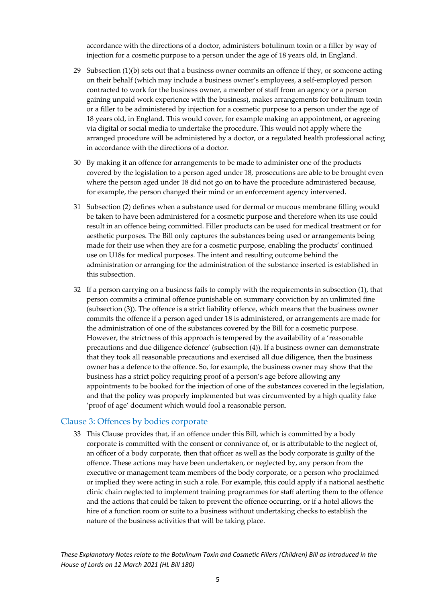accordance with the directions of a doctor, administers botulinum toxin or a filler by way of injection for a cosmetic purpose to a person under the age of 18 years old, in England.

- 29 Subsection (1)(b) sets out that a business owner commits an offence if they, or someone acting on their behalf (which may include a business owner's employees, a self-employed person contracted to work for the business owner, a member of staff from an agency or a person gaining unpaid work experience with the business), makes arrangements for botulinum toxin or a filler to be administered by injection for a cosmetic purpose to a person under the age of 18 years old, in England. This would cover, for example making an appointment, or agreeing via digital or social media to undertake the procedure. This would not apply where the arranged procedure will be administered by a doctor, or a regulated health professional acting in accordance with the directions of a doctor.
- 30 By making it an offence for arrangements to be made to administer one of the products covered by the legislation to a person aged under 18, prosecutions are able to be brought even where the person aged under 18 did not go on to have the procedure administered because, for example, the person changed their mind or an enforcement agency intervened.
- 31 Subsection (2) defines when a substance used for dermal or mucous membrane filling would be taken to have been administered for a cosmetic purpose and therefore when its use could result in an offence being committed. Filler products can be used for medical treatment or for aesthetic purposes. The Bill only captures the substances being used or arrangements being made for their use when they are for a cosmetic purpose, enabling the products' continued use on U18s for medical purposes. The intent and resulting outcome behind the administration or arranging for the administration of the substance inserted is established in this subsection.
- 32 If a person carrying on a business fails to comply with the requirements in subsection (1), that person commits a criminal offence punishable on summary conviction by an unlimited fine (subsection (3)). The offence is a strict liability offence, which means that the business owner commits the offence if a person aged under 18 is administered, or arrangements are made for the administration of one of the substances covered by the Bill for a cosmetic purpose. However, the strictness of this approach is tempered by the availability of a 'reasonable precautions and due diligence defence' (subsection (4)). If a business owner can demonstrate that they took all reasonable precautions and exercised all due diligence, then the business owner has a defence to the offence. So, for example, the business owner may show that the business has a strict policy requiring proof of a person's age before allowing any appointments to be booked for the injection of one of the substances covered in the legislation, and that the policy was properly implemented but was circumvented by a high quality fake 'proof of age' document which would fool a reasonable person.

#### <span id="page-5-0"></span>Clause 3: Offences by bodies corporate

33 This Clause provides that, if an offence under this Bill, which is committed by a body corporate is committed with the consent or connivance of, or is attributable to the neglect of, an officer of a body corporate, then that officer as well as the body corporate is guilty of the offence. These actions may have been undertaken, or neglected by, any person from the executive or management team members of the body corporate, or a person who proclaimed or implied they were acting in such a role. For example, this could apply if a national aesthetic clinic chain neglected to implement training programmes for staff alerting them to the offence and the actions that could be taken to prevent the offence occurring, or if a hotel allows the hire of a function room or suite to a business without undertaking checks to establish the nature of the business activities that will be taking place.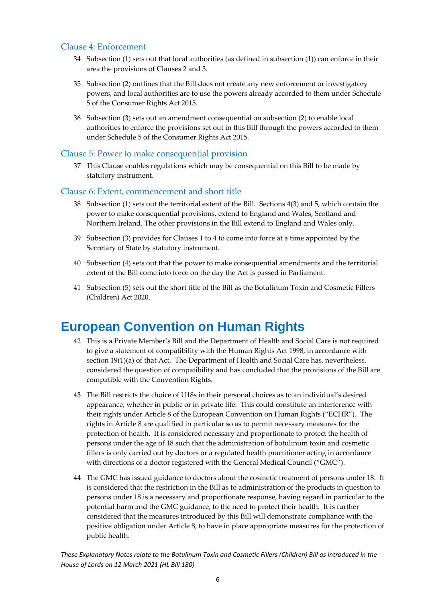#### <span id="page-6-0"></span>Clause 4: Enforcement

- 34 Subsection (1) sets out that local authorities (as defined in subsection (1)) can enforce in their area the provisions of Clauses 2 and 3.
- 35 Subsection (2) outlines that the Bill does not create any new enforcement or investigatory powers, and local authorities are to use the powers already accorded to them under Schedule 5 of the Consumer Rights Act 2015.
- 36 Subsection (3) sets out an amendment consequential on subsection (2) to enable local authorities to enforce the provisions set out in this Bill through the powers accorded to them under Schedule 5 of the Consumer Rights Act 2015.

#### <span id="page-6-1"></span>Clause 5: Power to make consequential provision

37 This Clause enables regulations which may be consequential on this Bill to be made by statutory instrument.

#### <span id="page-6-2"></span>Clause 6: Extent, commencement and short title

- 38 Subsection (1) sets out the territorial extent of the Bill. Sections 4(3) and 5, which contain the power to make consequential provisions, extend to England and Wales, Scotland and Northern Ireland. The other provisions in the Bill extend to England and Wales only.
- 39 Subsection (3) provides for Clauses 1 to 4 to come into force at a time appointed by the Secretary of State by statutory instrument.
- 40 Subsection (4) sets out that the power to make consequential amendments and the territorial extent of the Bill come into force on the day the Act is passed in Parliament.
- 41 Subsection (5) sets out the short title of the Bill as the Botulinum Toxin and Cosmetic Fillers (Children) Act 2020.

### <span id="page-6-3"></span>**European Convention on Human Rights**

- 42 This is a Private Member's Bill and the Department of Health and Social Care is not required to give a statement of compatibility with the Human Rights Act 1998, in accordance with section 19(1)(a) of that Act. The Department of Health and Social Care has, nevertheless, considered the question of compatibility and has concluded that the provisions of the Bill are compatible with the Convention Rights.
- 43 The Bill restricts the choice of U18s in their personal choices as to an individual's desired appearance, whether in public or in private life. This could constitute an interference with their rights under Article 8 of the European Convention on Human Rights ("ECHR"). The rights in Article 8 are qualified in particular so as to permit necessary measures for the protection of health. It is considered necessary and proportionate to protect the health of persons under the age of 18 such that the administration of botulinum toxin and cosmetic fillers is only carried out by doctors or a regulated health practitioner acting in accordance with directions of a doctor registered with the General Medical Council ("GMC").
- 44 The GMC has issued guidance to doctors about the cosmetic treatment of persons under 18. It is considered that the restriction in the Bill as to administration of the products in question to persons under 18 is a necessary and proportionate response, having regard in particular to the potential harm and the GMC guidance, to the need to protect their health. It is further considered that the measures introduced by this Bill will demonstrate compliance with the positive obligation under Article 8, to have in place appropriate measures for the protection of public health.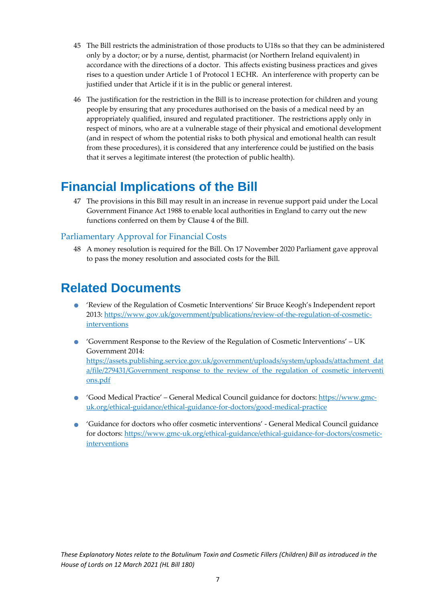- 45 The Bill restricts the administration of those products to U18s so that they can be administered only by a doctor; or by a nurse, dentist, pharmacist (or Northern Ireland equivalent) in accordance with the directions of a doctor. This affects existing business practices and gives rises to a question under Article 1 of Protocol 1 ECHR. An interference with property can be justified under that Article if it is in the public or general interest.
- 46 The justification for the restriction in the Bill is to increase protection for children and young people by ensuring that any procedures authorised on the basis of a medical need by an appropriately qualified, insured and regulated practitioner. The restrictions apply only in respect of minors, who are at a vulnerable stage of their physical and emotional development (and in respect of whom the potential risks to both physical and emotional health can result from these procedures), it is considered that any interference could be justified on the basis that it serves a legitimate interest (the protection of public health).

## <span id="page-7-0"></span>**Financial Implications of the Bill**

47 The provisions in this Bill may result in an increase in revenue support paid under the Local Government Finance Act 1988 to enable local authorities in England to carry out the new functions conferred on them by Clause 4 of the Bill.

#### <span id="page-7-1"></span>Parliamentary Approval for Financial Costs

48 A money resolution is required for the Bill. On 17 November 2020 Parliament gave approval to pass the money resolution and associated costs for the Bill.

### <span id="page-7-2"></span>**Related Documents**

- 'Review of the Regulation of Cosmetic Interventions' Sir Bruce Keogh's Independent report 2013: [https://www.gov.uk/government/publications/review-of-the-regulation-of-cosmetic](https://www.gov.uk/government/publications/review-of-the-regulation-of-cosmetic-interventions)[interventions](https://www.gov.uk/government/publications/review-of-the-regulation-of-cosmetic-interventions)
- 'Government Response to the Review of the Regulation of Cosmetic Interventions' UK Government 2014: [https://assets.publishing.service.gov.uk/government/uploads/system/uploads/attachment\\_dat](https://assets.publishing.service.gov.uk/government/uploads/system/uploads/attachment_data/file/279431/Government_response_to_the_review_of_the_regulation_of_cosmetic_interventions.pdf) a/file/279431/Government response to the review of the regulation of cosmetic interventi [ons.pdf](https://assets.publishing.service.gov.uk/government/uploads/system/uploads/attachment_data/file/279431/Government_response_to_the_review_of_the_regulation_of_cosmetic_interventions.pdf)
- 'Good Medical Practice' General Medical Council guidance for doctors: [https://www.gmc](https://www.gmc-uk.org/ethical-guidance/ethical-guidance-for-doctors/good-medical-practice)[uk.org/ethical-guidance/ethical-guidance-for-doctors/good-medical-practice](https://www.gmc-uk.org/ethical-guidance/ethical-guidance-for-doctors/good-medical-practice)
- 'Guidance for doctors who offer cosmetic interventions' General Medical Council guidance for doctors: [https://www.gmc-uk.org/ethical-guidance/ethical-guidance-for-doctors/cosmetic](https://www.gmc-uk.org/ethical-guidance/ethical-guidance-for-doctors/cosmetic-interventions)[interventions](https://www.gmc-uk.org/ethical-guidance/ethical-guidance-for-doctors/cosmetic-interventions)